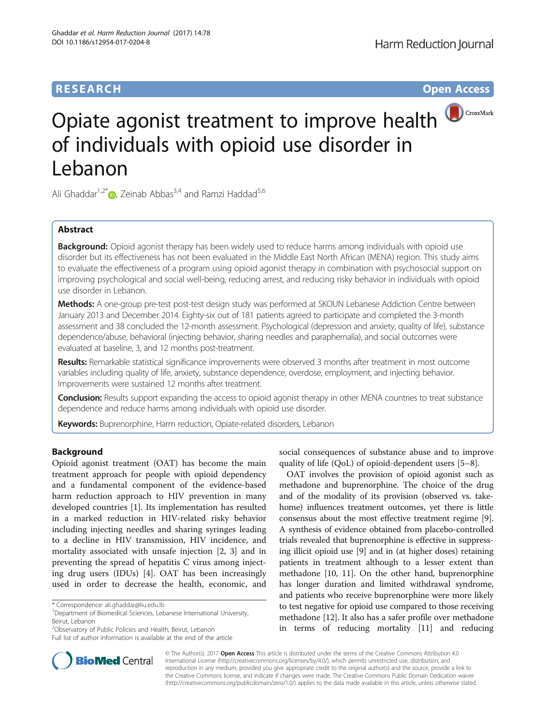# **RESEARCH RESEARCH** *CHECKER CHECKER CHECKER CHECKER CHECKER CHECKER CHECKER CHECKER CHECKER CHECKER CHECKER*



# Opiate agonist treatment to improve health **D**CrossMark of individuals with opioid use disorder in Lebanon

Ali Ghaddar<sup>1[,](http://orcid.org/0000-0001-7261-347X)2\*</sup> $\bullet$ , Zeinab Abbas<sup>3,4</sup> and Ramzi Haddad<sup>5,6</sup>

# Abstract

**Background:** Opioid agonist therapy has been widely used to reduce harms among individuals with opioid use disorder but its effectiveness has not been evaluated in the Middle East North African (MENA) region. This study aims to evaluate the effectiveness of a program using opioid agonist therapy in combination with psychosocial support on improving psychological and social well-being, reducing arrest, and reducing risky behavior in individuals with opioid use disorder in Lebanon.

Methods: A one-group pre-test post-test design study was performed at SKOUN Lebanese Addiction Centre between January 2013 and December 2014. Eighty-six out of 181 patients agreed to participate and completed the 3-month assessment and 38 concluded the 12-month assessment. Psychological (depression and anxiety, quality of life), substance dependence/abuse, behavioral (injecting behavior, sharing needles and paraphernalia), and social outcomes were evaluated at baseline, 3, and 12 months post-treatment.

Results: Remarkable statistical significance improvements were observed 3 months after treatment in most outcome variables including quality of life, anxiety, substance dependence, overdose, employment, and injecting behavior. Improvements were sustained 12 months after treatment.

**Conclusion:** Results support expanding the access to opioid agonist therapy in other MENA countries to treat substance dependence and reduce harms among individuals with opioid use disorder.

Keywords: Buprenorphine, Harm reduction, Opiate-related disorders, Lebanon

## Background

Opioid agonist treatment (OAT) has become the main treatment approach for people with opioid dependency and a fundamental component of the evidence-based harm reduction approach to HIV prevention in many developed countries [[1\]](#page-5-0). Its implementation has resulted in a marked reduction in HIV-related risky behavior including injecting needles and sharing syringes leading to a decline in HIV transmission, HIV incidence, and mortality associated with unsafe injection [[2](#page-5-0), [3\]](#page-5-0) and in preventing the spread of hepatitis C virus among injecting drug users (IDUs) [\[4](#page-5-0)]. OAT has been increasingly used in order to decrease the health, economic, and

Full list of author information is available at the end of the article



OAT involves the provision of opioid agonist such as methadone and buprenorphine. The choice of the drug and of the modality of its provision (observed vs. takehome) influences treatment outcomes, yet there is little consensus about the most effective treatment regime [[9](#page-5-0)]. A synthesis of evidence obtained from placebo-controlled trials revealed that buprenorphine is effective in suppressing illicit opioid use [[9\]](#page-5-0) and in (at higher doses) retaining patients in treatment although to a lesser extent than methadone [\[10, 11\]](#page-5-0). On the other hand, buprenorphine has longer duration and limited withdrawal syndrome, and patients who receive buprenorphine were more likely to test negative for opioid use compared to those receiving methadone [\[12](#page-5-0)]. It also has a safer profile over methadone in terms of reducing mortality [\[11\]](#page-5-0) and reducing



© The Author(s). 2017 **Open Access** This article is distributed under the terms of the Creative Commons Attribution 4.0 International License [\(http://creativecommons.org/licenses/by/4.0/](http://creativecommons.org/licenses/by/4.0/)), which permits unrestricted use, distribution, and reproduction in any medium, provided you give appropriate credit to the original author(s) and the source, provide a link to the Creative Commons license, and indicate if changes were made. The Creative Commons Public Domain Dedication waiver [\(http://creativecommons.org/publicdomain/zero/1.0/](http://creativecommons.org/publicdomain/zero/1.0/)) applies to the data made available in this article, unless otherwise stated.

<sup>\*</sup> Correspondence: [ali.ghaddar@liu.edu.lb](mailto:ali.ghaddar@liu.edu.lb) <sup>1</sup>

<sup>&</sup>lt;sup>1</sup>Department of Biomedical Sciences, Lebanese International University, Beirut, Lebanon

<sup>&</sup>lt;sup>2</sup>Observatory of Public Policies and Health, Beirut, Lebanon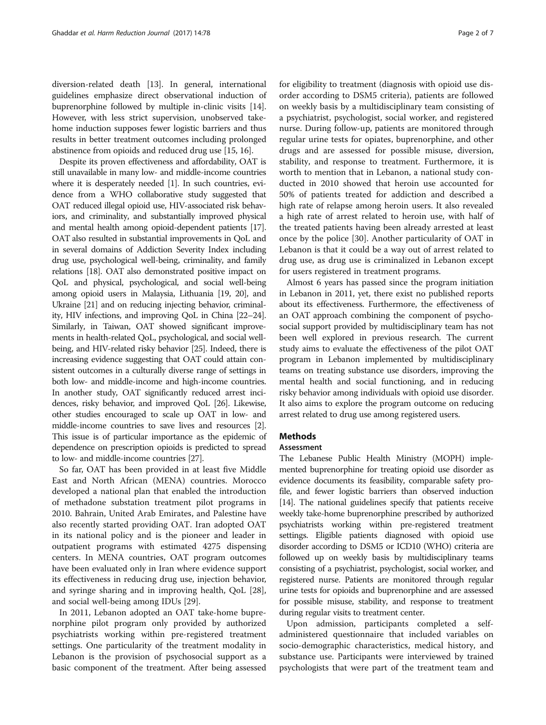diversion-related death [\[13](#page-5-0)]. In general, international guidelines emphasize direct observational induction of buprenorphine followed by multiple in-clinic visits [[14](#page-5-0)]. However, with less strict supervision, unobserved takehome induction supposes fewer logistic barriers and thus results in better treatment outcomes including prolonged abstinence from opioids and reduced drug use [\[15](#page-5-0), [16](#page-5-0)].

Despite its proven effectiveness and affordability, OAT is still unavailable in many low- and middle-income countries where it is desperately needed [\[1\]](#page-5-0). In such countries, evidence from a WHO collaborative study suggested that OAT reduced illegal opioid use, HIV-associated risk behaviors, and criminality, and substantially improved physical and mental health among opioid-dependent patients [\[17](#page-5-0)]. OAT also resulted in substantial improvements in QoL and in several domains of Addiction Severity Index including drug use, psychological well-being, criminality, and family relations [\[18\]](#page-5-0). OAT also demonstrated positive impact on QoL and physical, psychological, and social well-being among opioid users in Malaysia, Lithuania [[19,](#page-5-0) [20](#page-6-0)], and Ukraine [\[21\]](#page-6-0) and on reducing injecting behavior, criminality, HIV infections, and improving QoL in China [[22](#page-6-0)–[24](#page-6-0)]. Similarly, in Taiwan, OAT showed significant improvements in health-related QoL, psychological, and social wellbeing, and HIV-related risky behavior [[25](#page-6-0)]. Indeed, there is increasing evidence suggesting that OAT could attain consistent outcomes in a culturally diverse range of settings in both low- and middle-income and high-income countries. In another study, OAT significantly reduced arrest incidences, risky behavior, and improved QoL [\[26\]](#page-6-0). Likewise, other studies encouraged to scale up OAT in low- and middle-income countries to save lives and resources [[2](#page-5-0)]. This issue is of particular importance as the epidemic of dependence on prescription opioids is predicted to spread to low- and middle-income countries [\[27\]](#page-6-0).

So far, OAT has been provided in at least five Middle East and North African (MENA) countries. Morocco developed a national plan that enabled the introduction of methadone substation treatment pilot programs in 2010. Bahrain, United Arab Emirates, and Palestine have also recently started providing OAT. Iran adopted OAT in its national policy and is the pioneer and leader in outpatient programs with estimated 4275 dispensing centers. In MENA countries, OAT program outcomes have been evaluated only in Iran where evidence support its effectiveness in reducing drug use, injection behavior, and syringe sharing and in improving health, QoL [\[28](#page-6-0)], and social well-being among IDUs [[29](#page-6-0)].

In 2011, Lebanon adopted an OAT take-home buprenorphine pilot program only provided by authorized psychiatrists working within pre-registered treatment settings. One particularity of the treatment modality in Lebanon is the provision of psychosocial support as a basic component of the treatment. After being assessed for eligibility to treatment (diagnosis with opioid use disorder according to DSM5 criteria), patients are followed on weekly basis by a multidisciplinary team consisting of a psychiatrist, psychologist, social worker, and registered nurse. During follow-up, patients are monitored through regular urine tests for opiates, buprenorphine, and other drugs and are assessed for possible misuse, diversion, stability, and response to treatment. Furthermore, it is worth to mention that in Lebanon, a national study conducted in 2010 showed that heroin use accounted for 50% of patients treated for addiction and described a high rate of relapse among heroin users. It also revealed a high rate of arrest related to heroin use, with half of the treated patients having been already arrested at least once by the police [[30\]](#page-6-0). Another particularity of OAT in Lebanon is that it could be a way out of arrest related to drug use, as drug use is criminalized in Lebanon except for users registered in treatment programs.

Almost 6 years has passed since the program initiation in Lebanon in 2011, yet, there exist no published reports about its effectiveness. Furthermore, the effectiveness of an OAT approach combining the component of psychosocial support provided by multidisciplinary team has not been well explored in previous research. The current study aims to evaluate the effectiveness of the pilot OAT program in Lebanon implemented by multidisciplinary teams on treating substance use disorders, improving the mental health and social functioning, and in reducing risky behavior among individuals with opioid use disorder. It also aims to explore the program outcome on reducing arrest related to drug use among registered users.

## Methods

## Assessment

The Lebanese Public Health Ministry (MOPH) implemented buprenorphine for treating opioid use disorder as evidence documents its feasibility, comparable safety profile, and fewer logistic barriers than observed induction [[14](#page-5-0)]. The national guidelines specify that patients receive weekly take-home buprenorphine prescribed by authorized psychiatrists working within pre-registered treatment settings. Eligible patients diagnosed with opioid use disorder according to DSM5 or ICD10 (WHO) criteria are followed up on weekly basis by multidisciplinary teams consisting of a psychiatrist, psychologist, social worker, and registered nurse. Patients are monitored through regular urine tests for opioids and buprenorphine and are assessed for possible misuse, stability, and response to treatment during regular visits to treatment center.

Upon admission, participants completed a selfadministered questionnaire that included variables on socio-demographic characteristics, medical history, and substance use. Participants were interviewed by trained psychologists that were part of the treatment team and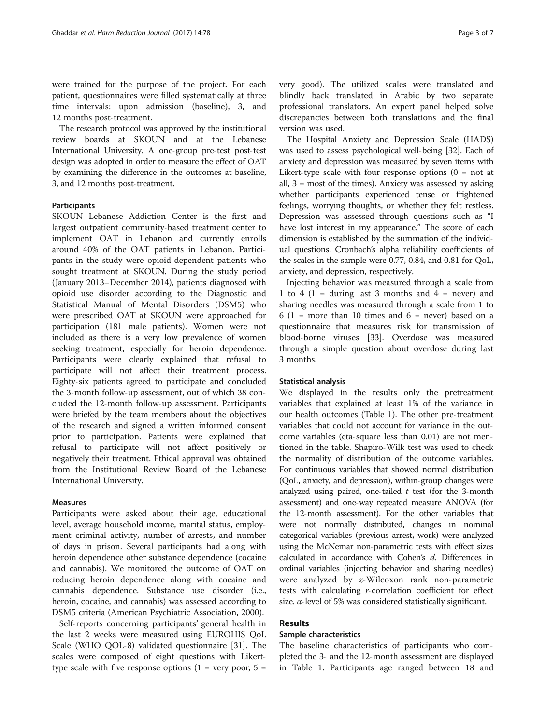were trained for the purpose of the project. For each patient, questionnaires were filled systematically at three time intervals: upon admission (baseline), 3, and 12 months post-treatment.

The research protocol was approved by the institutional review boards at SKOUN and at the Lebanese International University. A one-group pre-test post-test design was adopted in order to measure the effect of OAT by examining the difference in the outcomes at baseline, 3, and 12 months post-treatment.

## Participants

SKOUN Lebanese Addiction Center is the first and largest outpatient community-based treatment center to implement OAT in Lebanon and currently enrolls around 40% of the OAT patients in Lebanon. Participants in the study were opioid-dependent patients who sought treatment at SKOUN. During the study period (January 2013–December 2014), patients diagnosed with opioid use disorder according to the Diagnostic and Statistical Manual of Mental Disorders (DSM5) who were prescribed OAT at SKOUN were approached for participation (181 male patients). Women were not included as there is a very low prevalence of women seeking treatment, especially for heroin dependence. Participants were clearly explained that refusal to participate will not affect their treatment process. Eighty-six patients agreed to participate and concluded the 3-month follow-up assessment, out of which 38 concluded the 12-month follow-up assessment. Participants were briefed by the team members about the objectives of the research and signed a written informed consent prior to participation. Patients were explained that refusal to participate will not affect positively or negatively their treatment. Ethical approval was obtained from the Institutional Review Board of the Lebanese International University.

## Measures

Participants were asked about their age, educational level, average household income, marital status, employment criminal activity, number of arrests, and number of days in prison. Several participants had along with heroin dependence other substance dependence (cocaine and cannabis). We monitored the outcome of OAT on reducing heroin dependence along with cocaine and cannabis dependence. Substance use disorder (i.e., heroin, cocaine, and cannabis) was assessed according to DSM5 criteria (American Psychiatric Association, 2000).

Self-reports concerning participants' general health in the last 2 weeks were measured using EUROHIS QoL Scale (WHO QOL-8) validated questionnaire [[31\]](#page-6-0). The scales were composed of eight questions with Likerttype scale with five response options  $(1 = \text{very poor}, 5 =$  very good). The utilized scales were translated and blindly back translated in Arabic by two separate professional translators. An expert panel helped solve discrepancies between both translations and the final version was used.

The Hospital Anxiety and Depression Scale (HADS) was used to assess psychological well-being [\[32\]](#page-6-0). Each of anxiety and depression was measured by seven items with Likert-type scale with four response options  $(0 = not at$ all, 3 = most of the times). Anxiety was assessed by asking whether participants experienced tense or frightened feelings, worrying thoughts, or whether they felt restless. Depression was assessed through questions such as "I have lost interest in my appearance." The score of each dimension is established by the summation of the individual questions. Cronbach's alpha reliability coefficients of the scales in the sample were 0.77, 0.84, and 0.81 for QoL, anxiety, and depression, respectively.

Injecting behavior was measured through a scale from 1 to 4 (1 = during last 3 months and 4 = never) and sharing needles was measured through a scale from 1 to  $6(1)$  = more than 10 times and  $6$  = never) based on a questionnaire that measures risk for transmission of blood-borne viruses [[33\]](#page-6-0). Overdose was measured through a simple question about overdose during last 3 months.

### Statistical analysis

We displayed in the results only the pretreatment variables that explained at least 1% of the variance in our health outcomes (Table [1\)](#page-3-0). The other pre-treatment variables that could not account for variance in the outcome variables (eta-square less than 0.01) are not mentioned in the table. Shapiro-Wilk test was used to check the normality of distribution of the outcome variables. For continuous variables that showed normal distribution (QoL, anxiety, and depression), within-group changes were analyzed using paired, one-tailed  $t$  test (for the 3-month assessment) and one-way repeated measure ANOVA (for the 12-month assessment). For the other variables that were not normally distributed, changes in nominal categorical variables (previous arrest, work) were analyzed using the McNemar non-parametric tests with effect sizes calculated in accordance with Cohen's d. Differences in ordinal variables (injecting behavior and sharing needles) were analyzed by z-Wilcoxon rank non-parametric tests with calculating r-correlation coefficient for effect size.  $\alpha$ -level of 5% was considered statistically significant.

## Results

## Sample characteristics

The baseline characteristics of participants who completed the 3- and the 12-month assessment are displayed in Table [1.](#page-3-0) Participants age ranged between 18 and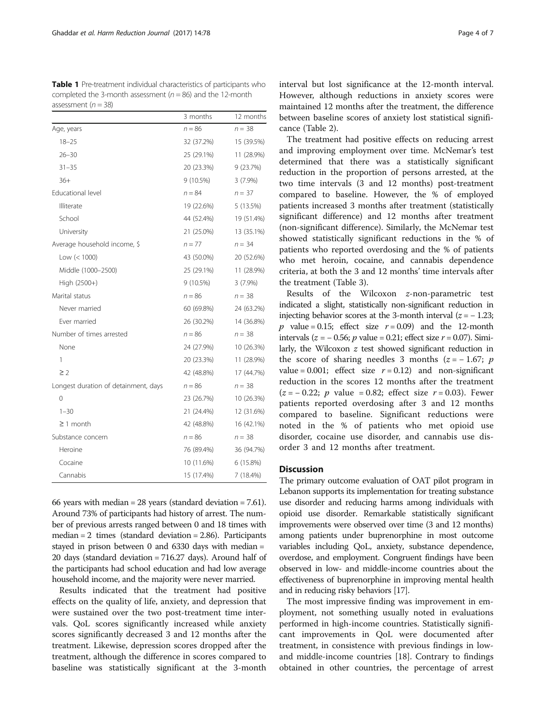<span id="page-3-0"></span>Table 1 Pre-treatment individual characteristics of participants who completed the 3-month assessment ( $n = 86$ ) and the 12-month assessment ( $n = 38$ )

|                                      | 3 months    | 12 months  |
|--------------------------------------|-------------|------------|
| Age, years                           | $n = 86$    | $n = 38$   |
| $18 - 25$                            | 32 (37.2%)  | 15 (39.5%) |
| $26 - 30$                            | 25 (29.1%)  | 11 (28.9%) |
| $31 - 35$                            | 20 (23.3%)  | 9(23.7%)   |
| $36+$                                | $9(10.5\%)$ | $3(7.9\%)$ |
| Educational level                    | $n = 84$    | $n = 37$   |
| Illiterate                           | 19 (22.6%)  | 5 (13.5%)  |
| School                               | 44 (52.4%)  | 19 (51.4%) |
| University                           | 21 (25.0%)  | 13 (35.1%) |
| Average household income, \$         | $n = 77$    | $n = 34$   |
| Low $(< 1000)$                       | 43 (50.0%)  | 20 (52.6%) |
| Middle (1000-2500)                   | 25 (29.1%)  | 11 (28.9%) |
| High (2500+)                         | $9(10.5\%)$ | $3(7.9\%)$ |
| Marital status                       | $n = 86$    | $n = 38$   |
| Never married                        | 60 (69.8%)  | 24 (63.2%) |
| Fver married                         | 26 (30.2%)  | 14 (36.8%) |
| Number of times arrested             | $n = 86$    | $n = 38$   |
| None                                 | 24 (27.9%)  | 10 (26.3%) |
| 1                                    | 20 (23.3%)  | 11 (28.9%) |
| $\geq$ 2                             | 42 (48.8%)  | 17 (44.7%) |
| Longest duration of detainment, days | $n = 86$    | $n = 38$   |
| 0                                    | 23 (26.7%)  | 10 (26.3%) |
| $1 - 30$                             | 21 (24.4%)  | 12 (31.6%) |
| $\geq$ 1 month                       | 42 (48.8%)  | 16 (42.1%) |
| Substance concern                    | $n = 86$    | $n = 38$   |
| Heroine                              | 76 (89.4%)  | 36 (94.7%) |
| Cocaine                              | 10 (11.6%)  | 6 (15.8%)  |
| Cannabis                             | 15 (17.4%)  | 7 (18.4%)  |

66 years with median  $= 28$  years (standard deviation  $= 7.61$ ). Around 73% of participants had history of arrest. The number of previous arrests ranged between 0 and 18 times with median  $= 2$  times (standard deviation  $= 2.86$ ). Participants stayed in prison between 0 and 6330 days with median = 20 days (standard deviation = 716.27 days). Around half of the participants had school education and had low average household income, and the majority were never married.

Results indicated that the treatment had positive effects on the quality of life, anxiety, and depression that were sustained over the two post-treatment time intervals. QoL scores significantly increased while anxiety scores significantly decreased 3 and 12 months after the treatment. Likewise, depression scores dropped after the treatment, although the difference in scores compared to baseline was statistically significant at the 3-month

interval but lost significance at the 12-month interval. However, although reductions in anxiety scores were maintained 12 months after the treatment, the difference between baseline scores of anxiety lost statistical significance (Table [2\)](#page-4-0).

The treatment had positive effects on reducing arrest and improving employment over time. McNemar's test determined that there was a statistically significant reduction in the proportion of persons arrested, at the two time intervals (3 and 12 months) post-treatment compared to baseline. However, the % of employed patients increased 3 months after treatment (statistically significant difference) and 12 months after treatment (non-significant difference). Similarly, the McNemar test showed statistically significant reductions in the % of patients who reported overdosing and the % of patients who met heroin, cocaine, and cannabis dependence criteria, at both the 3 and 12 months' time intervals after the treatment (Table [3\)](#page-4-0).

Results of the Wilcoxon z-non-parametric test indicated a slight, statistically non-significant reduction in injecting behavior scores at the 3-month interval  $(z = -1.23;$ p value = 0.15; effect size  $r = 0.09$  and the 12-month intervals ( $z = -0.56$ ; p value = 0.21; effect size  $r = 0.07$ ). Similarly, the Wilcoxon z test showed significant reduction in the score of sharing needles 3 months  $(z = -1.67; p$ value = 0.001; effect size  $r = 0.12$ ) and non-significant reduction in the scores 12 months after the treatment  $(z = -0.22; p$  value = 0.82; effect size  $r = 0.03$ ). Fewer patients reported overdosing after 3 and 12 months compared to baseline. Significant reductions were noted in the % of patients who met opioid use disorder, cocaine use disorder, and cannabis use disorder 3 and 12 months after treatment.

## **Discussion**

The primary outcome evaluation of OAT pilot program in Lebanon supports its implementation for treating substance use disorder and reducing harms among individuals with opioid use disorder. Remarkable statistically significant improvements were observed over time (3 and 12 months) among patients under buprenorphine in most outcome variables including QoL, anxiety, substance dependence, overdose, and employment. Congruent findings have been observed in low- and middle-income countries about the effectiveness of buprenorphine in improving mental health and in reducing risky behaviors [[17\]](#page-5-0).

The most impressive finding was improvement in employment, not something usually noted in evaluations performed in high-income countries. Statistically significant improvements in QoL were documented after treatment, in consistence with previous findings in lowand middle-income countries [\[18](#page-5-0)]. Contrary to findings obtained in other countries, the percentage of arrest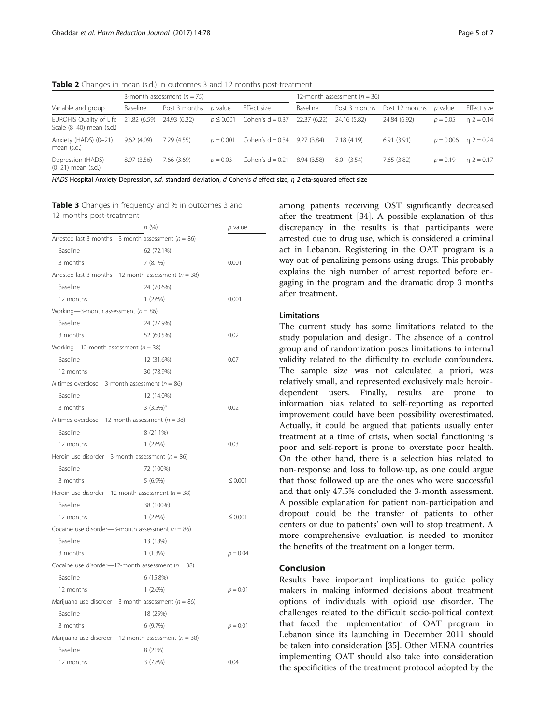<span id="page-4-0"></span>Table 2 Changes in mean (s.d.) in outcomes 3 and 12 months post-treatment

|                                                     | 3-month assessment $(n = 75)$ |               |                | 12-month assessment $(n = 36)$ |              |               |                |                |                        |
|-----------------------------------------------------|-------------------------------|---------------|----------------|--------------------------------|--------------|---------------|----------------|----------------|------------------------|
| Variable and group                                  | Baseline                      | Post 3 months | <i>p</i> value | Effect size                    | Baseline     | Post 3 months | Post 12 months | <i>p</i> value | Effect size            |
| EUROHIS Quality of Life<br>Scale (8-40) mean (s.d.) | 21.82 (6.59)                  | 24.93 (6.32)  | $p \le 0.001$  | Cohen's $d = 0.37$             | 22.37 (6.22) | 24.16 (5.82)  | 24.84 (6.92)   | $p = 0.05$     | $n = 2 = 0.14$         |
| Anxiety (HADS) (0-21)<br>mean (s.d.)                | 9.62(4.09)                    | 7.29(4.55)    | $p = 0.001$    | Cohen's $d = 0.34$ 9.27 (3.84) |              | 7.18(4.19)    | 6.91(3.91)     |                | $p = 0.006$ n 2 = 0.24 |
| Depression (HADS)<br>$(0-21)$ mean $(s.d.)$         | 8.97 (3.56)                   | 7.66 (3.69)   | $p = 0.03$     | Cohen's $d = 0.21$             | 8.94 (3.58)  | 8.01 (3.54)   | 7.65(3.82)     | $p = 0.19$     | $n = 2 = 0.17$         |

HADS Hospital Anxiety Depression, s.d. standard deviation, d Cohen's d effect size, η 2 eta-squared effect size

Table 3 Changes in frequency and % in outcomes 3 and 12 months post-treatment

|                                                         | n (%)                                                   | p value      |  |  |  |  |  |
|---------------------------------------------------------|---------------------------------------------------------|--------------|--|--|--|--|--|
| Arrested last 3 months-3-month assessment ( $n = 86$ )  |                                                         |              |  |  |  |  |  |
| Baseline                                                | 62 (72.1%)                                              |              |  |  |  |  |  |
| 3 months                                                | 7(8.1%)                                                 | 0.001        |  |  |  |  |  |
|                                                         | Arrested last 3 months-12-month assessment ( $n = 38$ ) |              |  |  |  |  |  |
| Baseline                                                | 24 (70.6%)                                              |              |  |  |  |  |  |
| 12 months                                               | $1(2.6\%)$                                              | 0.001        |  |  |  |  |  |
| Working-3-month assessment ( $n = 86$ )                 |                                                         |              |  |  |  |  |  |
| Baseline                                                | 24 (27.9%)                                              |              |  |  |  |  |  |
| 3 months                                                | 52 (60.5%)                                              | 0.02         |  |  |  |  |  |
| Working-12-month assessment ( $n = 38$ )                |                                                         |              |  |  |  |  |  |
| Baseline                                                | 12 (31.6%)                                              | 0.07         |  |  |  |  |  |
| 12 months                                               | 30 (78.9%)                                              |              |  |  |  |  |  |
|                                                         | N times overdose—3-month assessment ( $n = 86$ )        |              |  |  |  |  |  |
| Baseline                                                | 12 (14.0%)                                              |              |  |  |  |  |  |
| 3 months                                                | $3(3.5\%)*$                                             | 0.02         |  |  |  |  |  |
| N times overdose—12-month assessment ( $n = 38$ )       |                                                         |              |  |  |  |  |  |
| Baseline                                                | 8 (21.1%)                                               |              |  |  |  |  |  |
| 12 months                                               | 1(2.6%)                                                 | 0.03         |  |  |  |  |  |
| Heroin use disorder-3-month assessment ( $n = 86$ )     |                                                         |              |  |  |  |  |  |
| Baseline                                                | 72 (100%)                                               |              |  |  |  |  |  |
| 3 months                                                | $5(6.9\%)$                                              | $\leq 0.001$ |  |  |  |  |  |
| Heroin use disorder—12-month assessment ( $n = 38$ )    |                                                         |              |  |  |  |  |  |
| Baseline                                                | 38 (100%)                                               |              |  |  |  |  |  |
| 12 months                                               | 1(2.6%)                                                 | $\leq 0.001$ |  |  |  |  |  |
| Cocaine use disorder-3-month assessment ( $n = 86$ )    |                                                         |              |  |  |  |  |  |
| <b>Baseline</b>                                         | 13 (18%)                                                |              |  |  |  |  |  |
| 3 months                                                | $1(1.3\%)$                                              | $p = 0.04$   |  |  |  |  |  |
| Cocaine use disorder-12-month assessment ( $n = 38$ )   |                                                         |              |  |  |  |  |  |
| <b>Baseline</b>                                         | 6 (15.8%)                                               |              |  |  |  |  |  |
| 12 months                                               | $1(2.6\%)$                                              | $p = 0.01$   |  |  |  |  |  |
| Marijuana use disorder-3-month assessment ( $n = 86$ )  |                                                         |              |  |  |  |  |  |
| <b>Baseline</b>                                         | 18 (25%)                                                |              |  |  |  |  |  |
| 3 months                                                | 6 (9.7%)                                                | $p = 0.01$   |  |  |  |  |  |
| Marijuana use disorder—12-month assessment ( $n = 38$ ) |                                                         |              |  |  |  |  |  |
| Baseline                                                | 8 (21%)                                                 |              |  |  |  |  |  |
| 12 months                                               | 3 (7.8%)                                                | 0.04         |  |  |  |  |  |

among patients receiving OST significantly decreased after the treatment [\[34\]](#page-6-0). A possible explanation of this discrepancy in the results is that participants were arrested due to drug use, which is considered a criminal act in Lebanon. Registering in the OAT program is a way out of penalizing persons using drugs. This probably explains the high number of arrest reported before engaging in the program and the dramatic drop 3 months after treatment.

## Limitations

The current study has some limitations related to the study population and design. The absence of a control group and of randomization poses limitations to internal validity related to the difficulty to exclude confounders. The sample size was not calculated a priori, was relatively small, and represented exclusively male heroindependent users. Finally, results are prone to information bias related to self-reporting as reported improvement could have been possibility overestimated. Actually, it could be argued that patients usually enter treatment at a time of crisis, when social functioning is poor and self-report is prone to overstate poor health. On the other hand, there is a selection bias related to non-response and loss to follow-up, as one could argue that those followed up are the ones who were successful and that only 47.5% concluded the 3-month assessment. A possible explanation for patient non-participation and dropout could be the transfer of patients to other centers or due to patients' own will to stop treatment. A more comprehensive evaluation is needed to monitor the benefits of the treatment on a longer term.

## Conclusion

Results have important implications to guide policy makers in making informed decisions about treatment options of individuals with opioid use disorder. The challenges related to the difficult socio-political context that faced the implementation of OAT program in Lebanon since its launching in December 2011 should be taken into consideration [\[35](#page-6-0)]. Other MENA countries implementing OAT should also take into consideration the specificities of the treatment protocol adopted by the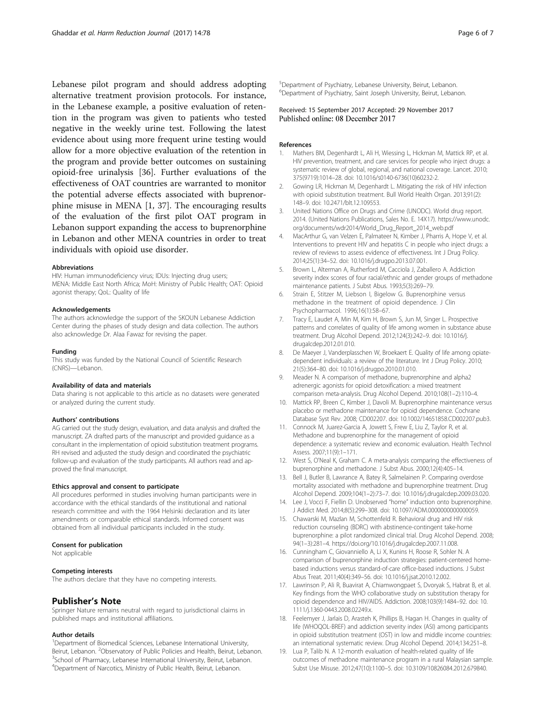<span id="page-5-0"></span>Lebanese pilot program and should address adopting alternative treatment provision protocols. For instance, in the Lebanese example, a positive evaluation of retention in the program was given to patients who tested negative in the weekly urine test. Following the latest evidence about using more frequent urine testing would allow for a more objective evaluation of the retention in the program and provide better outcomes on sustaining opioid-free urinalysis [[36\]](#page-6-0). Further evaluations of the effectiveness of OAT countries are warranted to monitor the potential adverse effects associated with buprenorphine misuse in MENA [1, [37\]](#page-6-0). The encouraging results of the evaluation of the first pilot OAT program in Lebanon support expanding the access to buprenorphine in Lebanon and other MENA countries in order to treat individuals with opioid use disorder.

#### Abbreviations

HIV: Human immunodeficiency virus; IDUs: Injecting drug users; MENA: Middle East North Africa; MoH: Ministry of Public Health; OAT: Opioid agonist therapy; QoL: Quality of life

#### Acknowledgements

The authors acknowledge the support of the SKOUN Lebanese Addiction Center during the phases of study design and data collection. The authors also acknowledge Dr. Alaa Fawaz for revising the paper.

#### Funding

This study was funded by the National Council of Scientific Research (CNRS)—Lebanon.

#### Availability of data and materials

Data sharing is not applicable to this article as no datasets were generated or analyzed during the current study.

#### Authors' contributions

AG carried out the study design, evaluation, and data analysis and drafted the manuscript. ZA drafted parts of the manuscript and provided guidance as a consultant in the implementation of opioid substitution treatment programs. RH revised and adjusted the study design and coordinated the psychiatric follow-up and evaluation of the study participants. All authors read and approved the final manuscript.

#### Ethics approval and consent to participate

All procedures performed in studies involving human participants were in accordance with the ethical standards of the institutional and national research committee and with the 1964 Helsinki declaration and its later amendments or comparable ethical standards. Informed consent was obtained from all individual participants included in the study.

#### Consent for publication

Not applicable

#### Competing interests

The authors declare that they have no competing interests.

#### Publisher's Note

Springer Nature remains neutral with regard to jurisdictional claims in published maps and institutional affiliations.

#### Author details

<sup>1</sup>Department of Biomedical Sciences, Lebanese International University, Beirut, Lebanon. <sup>2</sup>Observatory of Public Policies and Health, Beirut, Lebanon.<br><sup>3</sup>School of Pharmacy, Labanose International University, Beirut, Lebanon. <sup>3</sup>School of Pharmacy, Lebanese International University, Beirut, Lebanon. 4 Department of Narcotics, Ministry of Public Health, Beirut, Lebanon.

5 Department of Psychiatry, Lebanese University, Beirut, Lebanon. 6 Department of Psychiatry, Saint Joseph University, Beirut, Lebanon.

## Received: 15 September 2017 Accepted: 29 November 2017 Published online: 08 December 2017

#### References

- 1. Mathers BM, Degenhardt L, Ali H, Wiessing L, Hickman M, Mattick RP, et al. HIV prevention, treatment, and care services for people who inject drugs: a systematic review of global, regional, and national coverage. Lancet. 2010; 375(9719):1014–28. doi: [10.1016/s0140-6736\(10\)60232-2](http://dx.doi.org/10.1016/s0140-6736(10)60232-2).
- 2. Gowing LR, Hickman M, Degenhardt L. Mitigating the risk of HIV infection with opioid substitution treatment. Bull World Health Organ. 2013;91(2): 148–9. doi: [10.2471/blt.12.109553.](http://dx.doi.org/10.2471/blt.12.109553)
- 3. United Nations Office on Drugs and Crime (UNODC). World drug report. 2014. (United Nations Publications, Sales No. E. 14X17). [https://www.unodc.](https://www.unodc.org/documents/wdr2014/World_Drug_Report_2014_web.pdf) [org/documents/wdr2014/World\\_Drug\\_Report\\_2014\\_web.pdf](https://www.unodc.org/documents/wdr2014/World_Drug_Report_2014_web.pdf)
- MacArthur G, van Velzen E, Palmateer N, Kimber J, Pharris A, Hope V, et al. Interventions to prevent HIV and hepatitis C in people who inject drugs: a review of reviews to assess evidence of effectiveness. Int J Drug Policy. 2014;25(1):34–52. doi: [10.1016/j.drugpo.2013.07.001.](http://dx.doi.org/10.1016/j.drugpo.2013.07.001)
- 5. Brown L, Alterman A, Rutherford M, Cacciola J, Zaballero A. Addiction severity index scores of four racial/ethnic and gender groups of methadone maintenance patients. J Subst Abus. 1993;5(3):269–79.
- Strain E, Stitzer M, Liebson I, Bigelow G. Buprenorphine versus methadone in the treatment of opioid dependence. J Clin Psychopharmacol. 1996;16(1):58–67.
- 7. Tracy E, Laudet A, Min M, Kim H, Brown S, Jun M, Singer L. Prospective patterns and correlates of quality of life among women in substance abuse treatment. Drug Alcohol Depend. 2012;124(3):242–9. doi: [10.1016/j.](http://dx.doi.org/10.1016/j.drugalcdep.2012.01.010) [drugalcdep.2012.01.010](http://dx.doi.org/10.1016/j.drugalcdep.2012.01.010).
- De Maeyer J, Vanderplasschen W, Broekaert E. Quality of life among opiatedependent individuals: a review of the literature. Int J Drug Policy. 2010; 21(5):364–80. doi: [10.1016/j.drugpo.2010.01.010](http://dx.doi.org/10.1016/j.drugpo.2010.01.010).
- 9. Meader N. A comparison of methadone, buprenorphine and alpha2 adrenergic agonists for opioid detoxification: a mixed treatment comparison meta-analysis. Drug Alcohol Depend. 2010;108(1–2):110–4.
- 10. Mattick RP, Breen C, Kimber J, Davoli M. Buprenorphine maintenance versus placebo or methadone maintenance for opioid dependence. Cochrane Database Syst Rev. 2008; CD002207. doi: [10.1002/14651858.CD002207.pub3.](http://dx.doi.org/10.1002/14651858.CD002207.pub3.)
- 11. Connock M, Juarez-Garcia A, Jowett S, Frew E, Liu Z, Taylor R, et al. Methadone and buprenorphine for the management of opioid dependence: a systematic review and economic evaluation. Health Technol Assess. 2007;11(9):1–171.
- 12. West S, O'Neal K, Graham C. A meta-analysis comparing the effectiveness of buprenorphine and methadone. J Subst Abus. 2000;12(4):405–14.
- 13. Bell J, Butler B, Lawrance A, Batey R, Salmelainen P. Comparing overdose mortality associated with methadone and buprenorphine treatment. Drug Alcohol Depend. 2009;104(1–2):73–7. doi: [10.1016/j.drugalcdep.2009.03.020](http://dx.doi.org/10.1016/j.drugalcdep.2009.03.020).
- 14. Lee J, Vocci F, Fiellin D. Unobserved "home" induction onto buprenorphine. J Addict Med. 2014;8(5):299–308. doi: [10.1097/ADM.0000000000000059.](http://dx.doi.org/10.1097/ADM.0000000000000059)
- 15. Chawarski M, Mazlan M, Schottenfeld R. Behavioral drug and HIV risk reduction counseling (BDRC) with abstinence-contingent take-home buprenorphine: a pilot randomized clinical trial. Drug Alcohol Depend. 2008; 94(1–3):281–4. [https://doi.org/10.1016/j.drugalcdep.2007.11.008.](http://dx.doi.org/10.1016/j.drugalcdep.2007.11.008)
- 16. Cunningham C, Giovanniello A, Li X, Kunins H, Roose R, Sohler N. A comparison of buprenorphine induction strategies: patient-centered homebased inductions versus standard-of-care office-based inductions. J Subst Abus Treat. 2011;40(4):349–56. doi: [10.1016/j.jsat.2010.12.002](http://dx.doi.org/10.1016/j.jsat.2010.12.002).
- 17. Lawrinson P, Ali R, Buavirat A, Chiamwongpaet S, Dvoryak S, Habrat B, et al. Key findings from the WHO collaborative study on substitution therapy for opioid dependence and HIV/AIDS. Addiction. 2008;103(9):1484–92. doi: [10.](http://dx.doi.org/10.1111/j.1360-0443.2008.02249.x) [1111/j.1360-0443.2008.02249.x](http://dx.doi.org/10.1111/j.1360-0443.2008.02249.x).
- 18. Feelemyer J, Jarlais D, Arasteh K, Phillips B, Hagan H. Changes in quality of life (WHOQOL-BREF) and addiction severity index (ASI) among participants in opioid substitution treatment (OST) in low and middle income countries: an international systematic review. Drug Alcohol Depend. 2014;134:251–8.
- 19. Lua P, Talib N. A 12-month evaluation of health-related quality of life outcomes of methadone maintenance program in a rural Malaysian sample. Subst Use Misuse. 2012;47(10):1100–5. doi: [10.3109/10826084.2012.679840](http://dx.doi.org/10.3109/10826084.2012.679840).